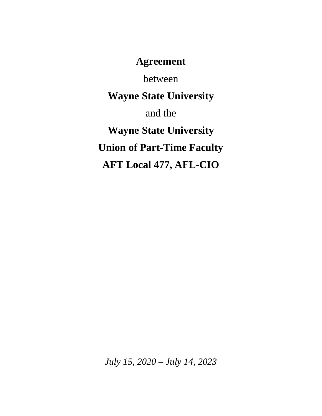**Agreement**

between

**Wayne State University**

and the

**Wayne State University Union of Part-Time Faculty AFT Local 477, AFL-CIO**

*July 15, 2020 – July 14, 2023*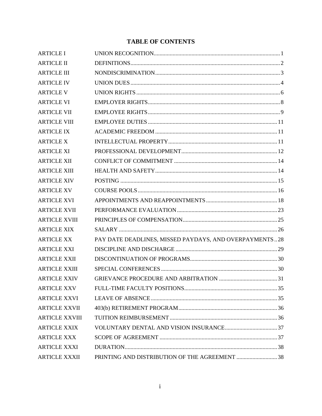# **TABLE OF CONTENTS**

| <b>ARTICLE I</b>      |                                                        |  |
|-----------------------|--------------------------------------------------------|--|
| <b>ARTICLE II</b>     |                                                        |  |
| <b>ARTICLE III</b>    |                                                        |  |
| <b>ARTICLE IV</b>     |                                                        |  |
| <b>ARTICLE V</b>      |                                                        |  |
| <b>ARTICLE VI</b>     |                                                        |  |
| <b>ARTICLE VII</b>    |                                                        |  |
| <b>ARTICLE VIII</b>   |                                                        |  |
| <b>ARTICLE IX</b>     |                                                        |  |
| <b>ARTICLE X</b>      |                                                        |  |
| <b>ARTICLE XI</b>     |                                                        |  |
| <b>ARTICLE XII</b>    |                                                        |  |
| <b>ARTICLE XIII</b>   |                                                        |  |
| <b>ARTICLE XIV</b>    |                                                        |  |
| <b>ARTICLE XV</b>     |                                                        |  |
| <b>ARTICLE XVI</b>    |                                                        |  |
| <b>ARTICLE XVII</b>   |                                                        |  |
| <b>ARTICLE XVIII</b>  |                                                        |  |
| <b>ARTICLE XIX</b>    |                                                        |  |
| <b>ARTICLE XX</b>     | PAY DATE DEADLINES, MISSED PAYDAYS, AND OVERPAYMENTS28 |  |
| <b>ARTICLE XXI</b>    |                                                        |  |
| <b>ARTICLE XXII</b>   |                                                        |  |
| <b>ARTICLE XXIII</b>  |                                                        |  |
| <b>ARTICLE XXIV</b>   |                                                        |  |
| <b>ARTICLE XXV</b>    |                                                        |  |
| <b>ARTICLE XXVI</b>   |                                                        |  |
| <b>ARTICLE XXVII</b>  |                                                        |  |
| <b>ARTICLE XXVIII</b> |                                                        |  |
| <b>ARTICLE XXIX</b>   |                                                        |  |
| <b>ARTICLE XXX</b>    |                                                        |  |
| <b>ARTICLE XXXI</b>   |                                                        |  |
| <b>ARTICLE XXXII</b>  | PRINTING AND DISTRIBUTION OF THE AGREEMENT 38          |  |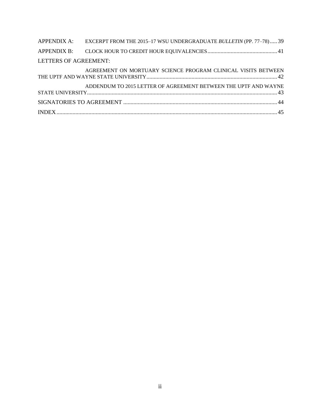|                       | APPENDIX A: EXCERPT FROM THE 2015-17 WSU UNDERGRADUATE BULLETIN (PP. 77-78) 39 |  |
|-----------------------|--------------------------------------------------------------------------------|--|
|                       |                                                                                |  |
| LETTERS OF AGREEMENT: |                                                                                |  |
|                       | AGREEMENT ON MORTUARY SCIENCE PROGRAM CLINICAL VISITS BETWEEN                  |  |
|                       | ADDENDUM TO 2015 LETTER OF AGREEMENT BETWEEN THE UPTF AND WAYNE                |  |
|                       |                                                                                |  |
|                       |                                                                                |  |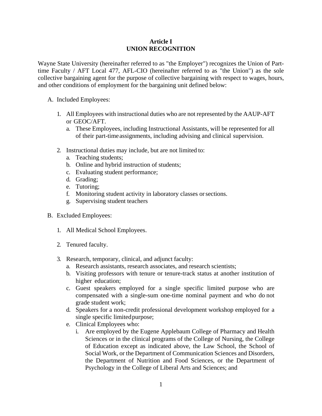### **Article I UNION RECOGNITION**

Wayne State University (hereinafter referred to as "the Employer") recognizes the Union of Parttime Faculty / AFT Local 477, AFL-CIO (hereinafter referred to as "the Union") as the sole collective bargaining agent for the purpose of collective bargaining with respect to wages, hours, and other conditions of employment for the bargaining unit defined below:

- A. Included Employees:
	- 1. All Employees with instructional duties who are not represented by the AAUP-AFT or GEOC/AFT.
		- a. These Employees, including Instructional Assistants, will be represented for all of their part-timeassignments, including advising and clinical supervision.
	- 2. Instructional duties may include, but are not limited to:
		- a. Teaching students;
		- b. Online and hybrid instruction of students;
		- c. Evaluating student performance;
		- d. Grading;
		- e. Tutoring;
		- f. Monitoring student activity in laboratory classes orsections.
		- g. Supervising student teachers
- B. Excluded Employees:
	- 1. All Medical School Employees.
	- 2. Tenured faculty.
	- 3. Research, temporary, clinical, and adjunct faculty:
		- a. Research assistants, research associates, and research scientists;
		- b. Visiting professors with tenure or tenure-track status at another institution of higher education;
		- c. Guest speakers employed for a single specific limited purpose who are compensated with a single-sum one-time nominal payment and who do not grade student work;
		- d. Speakers for a non-credit professional development workshop employed for a single specific limited purpose;
		- e. Clinical Employees who:
			- i. Are employed by the Eugene Applebaum College of Pharmacy and Health Sciences or in the clinical programs of the College of Nursing, the College of Education except as indicated above, the Law School, the School of Social Work, or the Department of Communication Sciences and Disorders, the Department of Nutrition and Food Sciences, or the Department of Psychology in the College of Liberal Arts and Sciences; and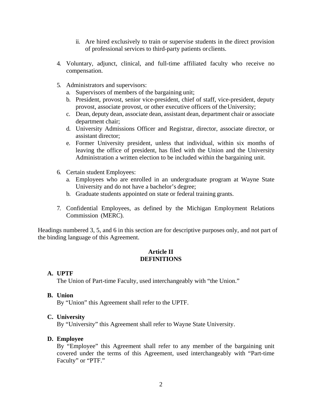- ii. Are hired exclusively to train or supervise students in the direct provision of professional services to third-party patients orclients.
- 4. Voluntary, adjunct, clinical, and full-time affiliated faculty who receive no compensation.
- 5. Administrators and supervisors:
	- a. Supervisors of members of the bargaining unit;
	- b. President, provost, senior vice-president, chief of staff, vice-president, deputy provost, associate provost, or other executive officers of the University;
	- c. Dean, deputy dean, associate dean, assistant dean, department chair or associate department chair;
	- d. University Admissions Officer and Registrar, director, associate director, or assistant director;
	- e. Former University president, unless that individual, within six months of leaving the office of president, has filed with the Union and the University Administration a written election to be included within the bargaining unit.
- 6. Certain student Employees:
	- a. Employees who are enrolled in an undergraduate program at Wayne State University and do not have a bachelor's degree;
	- b. Graduate students appointed on state or federal training grants.
- 7. Confidential Employees, as defined by the Michigan Employment Relations Commission (MERC).

Headings numbered 3, 5, and 6 in this section are for descriptive purposes only, and not part of the binding language of this Agreement.

### **Article II DEFINITIONS**

#### **A. UPTF**

The Union of Part-time Faculty, used interchangeably with "the Union."

**B. Union**

By "Union" this Agreement shall refer to the UPTF.

#### **C. University**

By "University" this Agreement shall refer to Wayne State University.

#### **D. Employee**

By "Employee" this Agreement shall refer to any member of the bargaining unit covered under the terms of this Agreement, used interchangeably with "Part-time Faculty" or "PTF."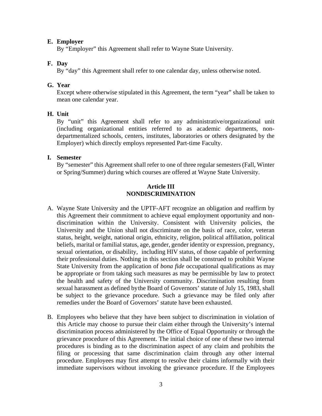### **E. Employer**

By "Employer" this Agreement shall refer to Wayne State University.

# **F. Day**

By "day" this Agreement shall refer to one calendar day, unless otherwise noted.

# **G. Year**

Except where otherwise stipulated in this Agreement, the term "year" shall be taken to mean one calendar year.

# **H. Unit**

By "unit" this Agreement shall refer to any administrative/organizational unit (including organizational entities referred to as academic departments, nondepartmentalized schools, centers, institutes, laboratories or others designated by the Employer) which directly employs represented Part-time Faculty.

### **I. Semester**

By "semester" this Agreement shall refer to one of three regular semesters (Fall, Winter or Spring/Summer) during which courses are offered at Wayne State University.

# **Article III NONDISCRIMINATION**

- A. Wayne State University and the UPTF-AFT recognize an obligation and reaffirm by this Agreement their commitment to achieve equal employment opportunity and nondiscrimination within the University. Consistent with University policies, the University and the Union shall not discriminate on the basis of race, color, veteran status, height, weight, national origin, ethnicity, religion, political affiliation, political beliefs, marital or familial status, age, gender, gender identity or expression, pregnancy, sexual orientation, or disability, including HIV status, of those capable of performing their professional duties. Nothing in this section shall be construed to prohibit Wayne State University from the application of *bona fide* occupational qualifications as may be appropriate or from taking such measures as may be permissible by law to protect the health and safety of the University community. Discrimination resulting from sexual harassment as defined bythe Board of Governors' statute of July 15, 1983, shall be subject to the grievance procedure. Such a grievance may be filed only after remedies under the Board of Governors' statute have been exhausted.
- B. Employees who believe that they have been subject to discrimination in violation of this Article may choose to pursue their claim either through the University's internal discrimination process administered by the Office of Equal Opportunity or through the grievance procedure of this Agreement. The initial choice of one of these two internal procedures is binding as to the discrimination aspect of any claim and prohibits the filing or processing that same discrimination claim through any other internal procedure. Employees may first attempt to resolve their claims informally with their immediate supervisors without invoking the grievance procedure. If the Employees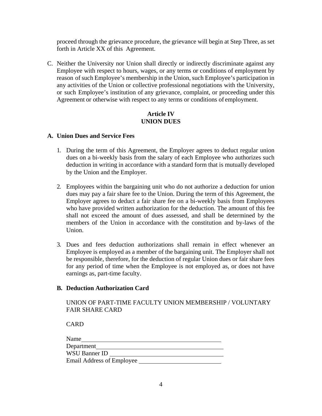proceed through the grievance procedure, the grievance will begin at Step Three, as set forth in Article XX of this Agreement.

C. Neither the University nor Union shall directly or indirectly discriminate against any Employee with respect to hours, wages, or any terms or conditions of employment by reason of such Employee's membership in the Union, such Employee's participation in any activities of the Union or collective professional negotiations with the University, or such Employee's institution of any grievance, complaint, or proceeding under this Agreement or otherwise with respect to any terms or conditions of employment.

### **Article IV UNION DUES**

### **A. Union Dues and Service Fees**

- 1. During the term of this Agreement, the Employer agrees to deduct regular union dues on a bi-weekly basis from the salary of each Employee who authorizes such deduction in writing in accordance with a standard form that is mutually developed by the Union and the Employer.
- 2. Employees within the bargaining unit who do not authorize a deduction for union dues may pay a fair share fee to the Union. During the term of this Agreement, the Employer agrees to deduct a fair share fee on a bi-weekly basis from Employees who have provided written authorization for the deduction. The amount of this fee shall not exceed the amount of dues assessed, and shall be determined by the members of the Union in accordance with the constitution and by-laws of the Union.
- 3. Dues and fees deduction authorizations shall remain in effect whenever an Employee is employed as a member of the bargaining unit. The Employer shall not be responsible, therefore, for the deduction of regular Union dues or fair share fees for any period of time when the Employee is not employed as, or does not have earnings as, part-time faculty.

### **B. Deduction Authorization Card**

# UNION OF PART-TIME FACULTY UNION MEMBERSHIP / VOLUNTARY FAIR SHARE CARD

CARD

| Name                      |  |
|---------------------------|--|
| Department                |  |
| WSU Banner ID             |  |
| Email Address of Employee |  |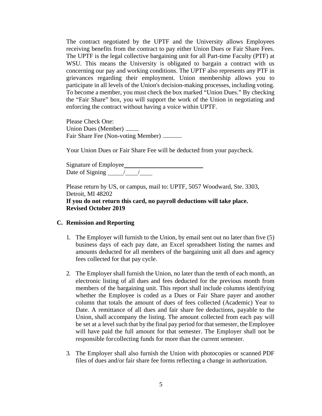The contract negotiated by the UPTF and the University allows Employees receiving benefits from the contract to pay either Union Dues or Fair Share Fees. The UPTF is the legal collective bargaining unit for all Part-time Faculty (PTF) at WSU. This means the University is obligated to bargain a contract with us concerning our pay and working conditions. The UPTF also represents any PTF in grievances regarding their employment. Union membership allows you to participate in all levels of the Union's decision-making processes, including voting. To become a member, you must check the box marked "Union Dues." By checking the "Fair Share" box, you will support the work of the Union in negotiating and enforcing the contract without having a voice within UPTF.

Please Check One: Union Dues (Member) Fair Share Fee (Non-voting Member)

Your Union Dues or Fair Share Fee will be deducted from your paycheck.

Signature of Employee Date of Signing / /

Please return by US, or campus, mail to: UPTF, 5057 Woodward, Ste. 3303, Detroit, MI 48202

#### **If you do not return this card, no payroll deductions will take place. Revised October 2019**

#### **C. Remission and Reporting**

- 1. The Employer will furnish to the Union, by email sent out no later than five (5) business days of each pay date, an Excel spreadsheet listing the names and amounts deducted for all members of the bargaining unit all dues and agency fees collected for that pay cycle.
- 2. The Employer shall furnish the Union, no later than the tenth of each month, an electronic listing of all dues and fees deducted for the previous month from members of the bargaining unit. This report shall include columns identifying whether the Employee is coded as a Dues or Fair Share payer and another column that totals the amount of dues of fees collected (Academic) Year to Date. A remittance of all dues and fair share fee deductions, payable to the Union, shall accompany the listing. The amount collected from each pay will be set at a level such that by the final pay period for that semester, the Employee will have paid the full amount for that semester. The Employer shall not be responsible forcollecting funds for more than the current semester.
- 3. The Employer shall also furnish the Union with photocopies or scanned PDF files of dues and/or fair share fee forms reflecting a change in authorization.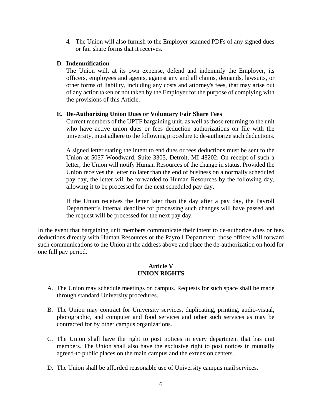4. The Union will also furnish to the Employer scanned PDFs of any signed dues or fair share forms that it receives.

### **D. Indemnification**

The Union will, at its own expense, defend and indemnify the Employer, its officers, employees and agents, against any and all claims, demands, lawsuits, or other forms of liability, including any costs and attorney's fees, that may arise out of any actiontaken or not taken by the Employer for the purpose of complying with the provisions of this Article.

### **E. De-Authorizing Union Dues or Voluntary Fair Share Fees**

Current members of the UPTF bargaining unit, as well as those returning to the unit who have active union dues or fees deduction authorizations on file with the university, must adhere to the following procedure to de-authorize such deductions.

A signed letter stating the intent to end dues or fees deductions must be sent to the Union at 5057 Woodward, Suite 3303, Detroit, MI 48202. On receipt of such a letter, the Union will notify Human Resources of the change in status. Provided the Union receives the letter no later than the end of business on a normally scheduled pay day, the letter will be forwarded to Human Resources by the following day, allowing it to be processed for the next scheduled pay day.

If the Union receives the letter later than the day after a pay day, the Payroll Department's internal deadline for processing such changes will have passed and the request will be processed for the next pay day.

In the event that bargaining unit members communicate their intent to de-authorize dues or fees deductions directly with Human Resources or the Payroll Department, those offices will forward such communications to the Union at the address above and place the de-authorization on hold for one full pay period.

# **Article V UNION RIGHTS**

- A. The Union may schedule meetings on campus. Requests for such space shall be made through standard University procedures.
- B. The Union may contract for University services, duplicating, printing, audio-visual, photographic, and computer and food services and other such services as may be contracted for by other campus organizations.
- C. The Union shall have the right to post notices in every department that has unit members. The Union shall also have the exclusive right to post notices in mutually agreed-to public places on the main campus and the extension centers.
- D. The Union shall be afforded reasonable use of University campus mail services.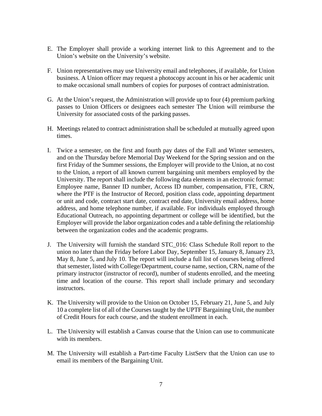- E. The Employer shall provide a working internet link to this Agreement and to the Union's website on the University's website.
- F. Union representatives may use University email and telephones, if available, for Union business. A Union officer may request a photocopy account in his or her academic unit to make occasional small numbers of copies for purposes of contract administration.
- G. At the Union's request, the Administration will provide up to four (4) premium parking passes to Union Officers or designees each semester The Union will reimburse the University for associated costs of the parking passes.
- H. Meetings related to contract administration shall be scheduled at mutually agreed upon times.
- I. Twice a semester, on the first and fourth pay dates of the Fall and Winter semesters, and on the Thursday before Memorial Day Weekend for the Spring session and on the first Friday of the Summer sessions, the Employer will provide to the Union, at no cost to the Union, a report of all known current bargaining unit members employed by the University. The report shall include the following data elements in an electronic format: Employee name, Banner ID number, Access ID number, compensation, FTE, CRN, where the PTF is the Instructor of Record, position class code, appointing department or unit and code, contract start date, contract end date, University email address, home address, and home telephone number, if available. For individuals employed through Educational Outreach, no appointing department or college will be identified, but the Employer will provide the labor organization codes and a table defining the relationship between the organization codes and the academic programs.
- J. The University will furnish the standard STC\_016: Class Schedule Roll report to the union no later than the Friday before Labor Day, September 15, January 8, January 23, May 8, June 5, and July 10. The report will include a full list of courses being offered that semester, listed with College/Department, course name, section, CRN, name of the primary instructor (instructor of record), number of students enrolled, and the meeting time and location of the course. This report shall include primary and secondary instructors.
- K. The University will provide to the Union on October 15, February 21, June 5, and July 10 a complete list of all of the Courses taught by the UPTF Bargaining Unit, the number of Credit Hours for each course, and the student enrollment in each.
- L. The University will establish a Canvas course that the Union can use to communicate with its members.
- M. The University will establish a Part-time Faculty ListServ that the Union can use to email its members of the Bargaining Unit.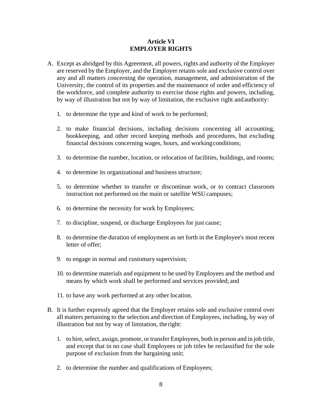### **Article VI EMPLOYER RIGHTS**

- A. Except as abridged by this Agreement, all powers, rights and authority of the Employer are reserved by the Employer, and the Employer retains sole and exclusive control over any and all matters concerning the operation, management, and administration of the University, the control of its properties and the maintenance of order and efficiency of the workforce, and complete authority to exercise those rights and powers, including, by way of illustration but not by way of limitation, the exclusive right andauthority:
	- 1. to determine the type and kind of work to be performed;
	- 2. to make financial decisions, including decisions concerning all accounting, bookkeeping, and other record keeping methods and procedures, but excluding financial decisions concerning wages, hours, and workingconditions;
	- 3. to determine the number, location, or relocation of facilities, buildings, and rooms;
	- 4. to determine its organizational and business structure;
	- 5. to determine whether to transfer or discontinue work, or to contract classroom instruction not performed on the main or satellite WSUcampuses;
	- 6. to determine the necessity for work by Employees;
	- 7. to discipline, suspend, or discharge Employees for just cause;
	- 8. to determine the duration of employment as set forth in the Employee's most recent letter of offer;
	- 9. to engage in normal and customary supervision;
	- 10. to determine materials and equipment to be used by Employees and the method and means by which work shall be performed and services provided; and
	- 11. to have any work performed at any other location.
- B. It is further expressly agreed that the Employer retains sole and exclusive control over all matters pertaining to the selection and direction of Employees, including, by way of illustration but not by way of limitation, the right:
	- 1. to hire, select, assign, promote, or transfer Employees, both in person and in job title, and except that in no case shall Employees or job titles be reclassified for the sole purpose of exclusion from the bargaining unit;
	- 2. to determine the number and qualifications of Employees;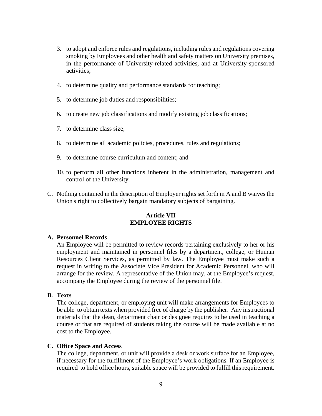- 3. to adopt and enforce rules and regulations, including rules and regulations covering smoking by Employees and other health and safety matters on University premises, in the performance of University-related activities, and at University-sponsored activities;
- 4. to determine quality and performance standards for teaching;
- 5. to determine job duties and responsibilities;
- 6. to create new job classifications and modify existing job classifications;
- 7. to determine class size;
- 8. to determine all academic policies, procedures, rules and regulations;
- 9. to determine course curriculum and content; and
- 10. to perform all other functions inherent in the administration, management and control of the University.
- C. Nothing contained in the description of Employer rights set forth in A and B waives the Union's right to collectively bargain mandatory subjects of bargaining.

### **Article VII EMPLOYEE RIGHTS**

#### **A. Personnel Records**

An Employee will be permitted to review records pertaining exclusively to her or his employment and maintained in personnel files by a department, college, or Human Resources Client Services, as permitted by law. The Employee must make such a request in writing to the Associate Vice President for Academic Personnel, who will arrange for the review. A representative of the Union may, at the Employee's request, accompany the Employee during the review of the personnel file.

#### **B. Texts**

The college, department, or employing unit will make arrangements for Employees to be able to obtain texts when provided free of charge by the publisher. Any instructional materials that the dean, department chair or designee requires to be used in teaching a course or that are required of students taking the course will be made available at no cost to the Employee.

#### **C. Office Space and Access**

The college, department, or unit will provide a desk or work surface for an Employee, if necessary for the fulfillment of the Employee's work obligations. If an Employee is required to hold office hours, suitable space will be provided to fulfill this requirement.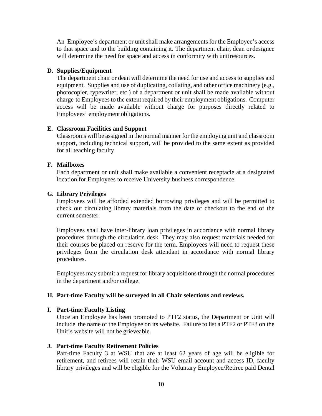An Employee's department or unit shall make arrangements for the Employee's access to that space and to the building containing it. The department chair, dean ordesignee will determine the need for space and access in conformity with unitresources.

#### **D. Supplies/Equipment**

The department chair or dean will determine the need for use and access to supplies and equipment. Supplies and use of duplicating, collating, and other office machinery (e.g., photocopier, typewriter, etc.) of a department or unit shall be made available without charge to Employees to the extent required by their employment obligations. Computer access will be made available without charge for purposes directly related to Employees' employment obligations.

#### **E. Classroom Facilities and Support**

Classrooms will be assigned in the normal manner for the employing unit and classroom support, including technical support, will be provided to the same extent as provided for all teaching faculty.

#### **F. Mailboxes**

Each department or unit shall make available a convenient receptacle at a designated location for Employees to receive University business correspondence.

#### **G. Library Privileges**

Employees will be afforded extended borrowing privileges and will be permitted to check out circulating library materials from the date of checkout to the end of the current semester.

Employees shall have inter-library loan privileges in accordance with normal library procedures through the circulation desk. They may also request materials needed for their courses be placed on reserve for the term. Employees will need to request these privileges from the circulation desk attendant in accordance with normal library procedures.

Employees may submit a request for library acquisitions through the normal procedures in the department and/or college.

#### **H. Part-time Faculty will be surveyed in all Chair selections and reviews.**

#### **I. Part-time Faculty Listing**

Once an Employee has been promoted to PTF2 status, the Department or Unit will include the name of the Employee on its website. Failure to list a PTF2 or PTF3 on the Unit's website will not be grieveable.

#### **J. Part-time Faculty Retirement Policies**

Part-time Faculty 3 at WSU that are at least 62 years of age will be eligible for retirement, and retirees will retain their WSU email account and access ID, faculty library privileges and will be eligible for the Voluntary Employee/Retiree paid Dental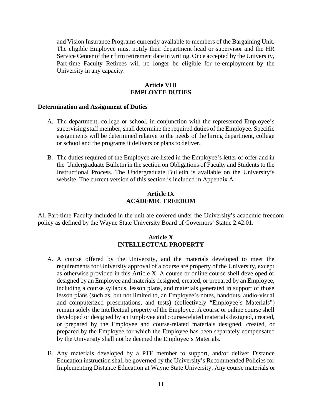and Vision Insurance Programs currently available to members of the Bargaining Unit. The eligible Employee must notify their department head or supervisor and the HR Service Center of their firm retirement date in writing. Once accepted by the University, Part-time Faculty Retirees will no longer be eligible for re-employment by the University in any capacity.

### **Article VIII EMPLOYEE DUTIES**

#### **Determination and Assignment of Duties**

- A. The department, college or school, in conjunction with the represented Employee's supervising staff member, shall determine the required duties of the Employee. Specific assignments will be determined relative to the needs of the hiring department, college or school and the programs it delivers or plans to deliver.
- B. The duties required of the Employee are listed in the Employee's letter of offer and in the Undergraduate Bulletin in the section on Obligations of Faculty and Students to the Instructional Process. The Undergraduate Bulletin is available on the University's website. The current version of this section is included in Appendix A.

### **Article IX ACADEMIC FREEDOM**

All Part-time Faculty included in the unit are covered under the University's academic freedom policy as defined by the Wayne State University Board of Governors' Statue 2.42.01.

#### **Article X INTELLECTUAL PROPERTY**

- A. A course offered by the University, and the materials developed to meet the requirements for University approval of a course are property of the University, except as otherwise provided in this Article X. A course or online course shell developed or designed by an Employee and materials designed, created, or prepared by an Employee, including a course syllabus, lesson plans, and materials generated in support of those lesson plans (such as, but not limited to, an Employee's notes, handouts, audio-visual and computerized presentations, and tests) (collectively "Employee's Materials") remain solely the intellectual property of the Employee. A course or online course shell developed or designed by an Employee and course-related materials designed, created, or prepared by the Employee and course-related materials designed, created, or prepared by the Employee for which the Employee has been separately compensated by the University shall not be deemed the Employee's Materials.
- B. Any materials developed by a PTF member to support, and/or deliver Distance Education instruction shall be governed by the University's Recommended Policies for Implementing Distance Education at Wayne State University. Any course materials or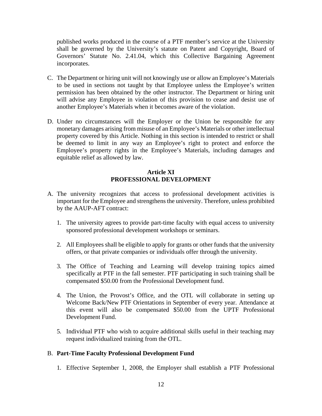published works produced in the course of a PTF member's service at the University shall be governed by the University's statute on Patent and Copyright, Board of Governors' Statute No. 2.41.04, which this Collective Bargaining Agreement incorporates.

- C. The Department or hiring unit will not knowingly use or allow an Employee's Materials to be used in sections not taught by that Employee unless the Employee's written permission has been obtained by the other instructor. The Department or hiring unit will advise any Employee in violation of this provision to cease and desist use of another Employee's Materials when it becomes aware of the violation.
- D. Under no circumstances will the Employer or the Union be responsible for any monetary damages arising from misuse of an Employee's Materials or other intellectual property covered by this Article. Nothing in this section is intended to restrict or shall be deemed to limit in any way an Employee's right to protect and enforce the Employee's property rights in the Employee's Materials, including damages and equitable relief as allowed by law.

# **Article XI PROFESSIONAL DEVELOPMENT**

- A. The university recognizes that access to professional development activities is important for the Employee and strengthens the university. Therefore, unless prohibited by the AAUP-AFT contract:
	- 1. The university agrees to provide part-time faculty with equal access to university sponsored professional development workshops or seminars.
	- 2. All Employees shall be eligible to apply for grants or other funds that the university offers, or that private companies or individuals offer through the university.
	- 3. The Office of Teaching and Learning will develop training topics aimed specifically at PTF in the fall semester. PTF participating in such training shall be compensated \$50.00 from the Professional Development fund.
	- 4. The Union, the Provost's Office, and the OTL will collaborate in setting up Welcome Back/New PTF Orientations in September of every year. Attendance at this event will also be compensated \$50.00 from the UPTF Professional Development Fund.
	- 5. Individual PTF who wish to acquire additional skills useful in their teaching may request individualized training from the OTL.

### B. **Part-Time Faculty Professional Development Fund**

1. Effective September 1, 2008, the Employer shall establish a PTF Professional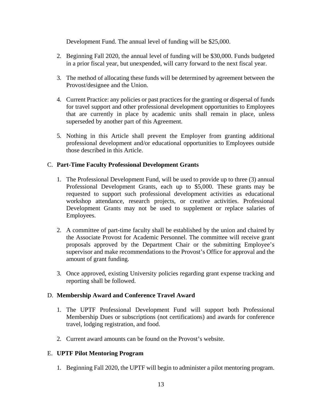Development Fund. The annual level of funding will be \$25,000.

- 2. Beginning Fall 2020, the annual level of funding will be \$30,000. Funds budgeted in a prior fiscal year, but unexpended, will carry forward to the next fiscal year.
- 3. The method of allocating these funds will be determined by agreement between the Provost/designee and the Union.
- 4. Current Practice: any policies or past practices for the granting or dispersal of funds for travel support and other professional development opportunities to Employees that are currently in place by academic units shall remain in place, unless superseded by another part of this Agreement.
- 5. Nothing in this Article shall prevent the Employer from granting additional professional development and/or educational opportunities to Employees outside those described in this Article.

# C. **Part-Time Faculty Professional Development Grants**

- 1. The Professional Development Fund, will be used to provide up to three (3) annual Professional Development Grants, each up to \$5,000. These grants may be requested to support such professional development activities as educational workshop attendance, research projects, or creative activities. Professional Development Grants may not be used to supplement or replace salaries of Employees.
- 2. A committee of part-time faculty shall be established by the union and chaired by the Associate Provost for Academic Personnel. The committee will receive grant proposals approved by the Department Chair or the submitting Employee's supervisor and make recommendations to the Provost's Office for approval and the amount of grant funding.
- 3. Once approved, existing University policies regarding grant expense tracking and reporting shall be followed.

### D. **Membership Award and Conference Travel Award**

- 1. The UPTF Professional Development Fund will support both Professional Membership Dues or subscriptions (not certifications) and awards for conference travel, lodging registration, and food.
- 2. Current award amounts can be found on the Provost's website.

# E. **UPTF Pilot Mentoring Program**

1. Beginning Fall 2020, the UPTF will begin to administer a pilot mentoring program.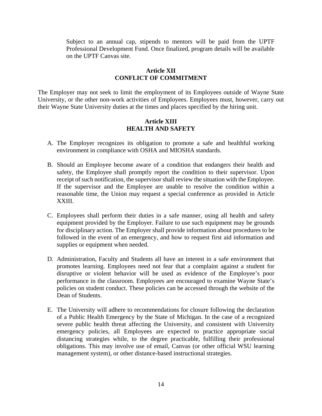Subject to an annual cap, stipends to mentors will be paid from the UPTF Professional Development Fund. Once finalized, program details will be available on the UPTF Canvas site.

#### **Article XII CONFLICT OF COMMITMENT**

The Employer may not seek to limit the employment of its Employees outside of Wayne State University, or the other non-work activities of Employees. Employees must, however, carry out their Wayne State University duties at the times and places specified by the hiring unit.

### **Article XIII HEALTH AND SAFETY**

- A. The Employer recognizes its obligation to promote a safe and healthful working environment in compliance with OSHA and MIOSHA standards.
- B. Should an Employee become aware of a condition that endangers their health and safety, the Employee shall promptly report the condition to their supervisor. Upon receipt of such notification, the supervisor shall review the situation with the Employee. If the supervisor and the Employee are unable to resolve the condition within a reasonable time, the Union may request a special conference as provided in Article XXIII.
- C. Employees shall perform their duties in a safe manner, using all health and safety equipment provided by the Employer. Failure to use such equipment may be grounds for disciplinary action. The Employer shall provide information about procedures to be followed in the event of an emergency, and how to request first aid information and supplies or equipment when needed.
- D. Administration, Faculty and Students all have an interest in a safe environment that promotes learning. Employees need not fear that a complaint against a student for disruptive or violent behavior will be used as evidence of the Employee's poor performance in the classroom. Employees are encouraged to examine Wayne State's policies on student conduct. These policies can be accessed through the website of the Dean of Students.
- E. The University will adhere to recommendations for closure following the declaration of a Public Health Emergency by the State of Michigan. In the case of a recognized severe public health threat affecting the University, and consistent with University emergency policies, all Employees are expected to practice appropriate social distancing strategies while, to the degree practicable, fulfilling their professional obligations. This may involve use of email, Canvas (or other official WSU learning management system), or other distance-based instructional strategies.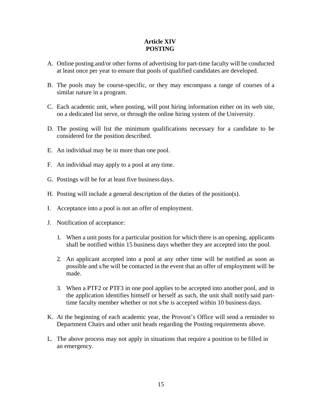# **Article XIV POSTING**

- A. Online posting and/or other forms of advertising for part-time faculty will be conducted at least once per year to ensure that pools of qualified candidates are developed.
- B. The pools may be course-specific, or they may encompass a range of courses of a similar nature in a program.
- C. Each academic unit, when posting, will post hiring information either on its web site, on a dedicated list serve, or through the online hiring system of the University.
- D. The posting will list the minimum qualifications necessary for a candidate to be considered for the position described.
- E. An individual may be in more than one pool.
- F. An individual may apply to a pool at any time.
- G. Postings will be for at least five business days.
- H. Posting will include a general description of the duties of the position(s).
- I. Acceptance into a pool is not an offer of employment.
- J. Notification of acceptance:
	- 1. When a unit posts for a particular position for which there is an opening, applicants shall be notified within 15 business days whether they are accepted into the pool.
	- 2. An applicant accepted into a pool at any other time will be notified as soon as possible and s/he will be contacted in the event that an offer of employment will be made.
	- 3. When a PTF2 or PTF3 in one pool applies to be accepted into another pool, and in the application identifies himself or herself as such, the unit shall notify said parttime faculty member whether or not s/he is accepted within 10 business days.
- K. At the beginning of each academic year, the Provost's Office will send a reminder to Department Chairs and other unit heads regarding the Posting requirements above.
- L. The above process may not apply in situations that require a position to be filled in an emergency.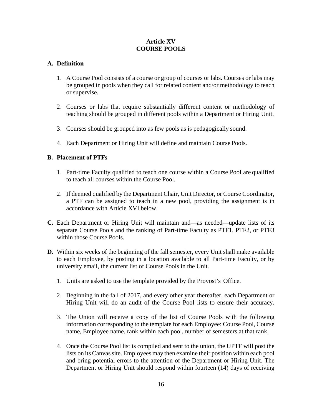# **Article XV COURSE POOLS**

# **A. Definition**

- 1. A Course Pool consists of a course or group of courses or labs. Courses or labs may be grouped in pools when they call for related content and/or methodology to teach or supervise.
- 2. Courses or labs that require substantially different content or methodology of teaching should be grouped in different pools within a Department or Hiring Unit.
- 3. Courses should be grouped into as few pools as is pedagogically sound.
- 4. Each Department or Hiring Unit will define and maintain Course Pools.

# **B. Placement of PTFs**

- 1. Part-time Faculty qualified to teach one course within a Course Pool are qualified to teach all courses within the Course Pool.
- 2. If deemed qualified by the Department Chair, Unit Director, or Course Coordinator, a PTF can be assigned to teach in a new pool, providing the assignment is in accordance with Article XVI below.
- **C.** Each Department or Hiring Unit will maintain and—as needed—update lists of its separate Course Pools and the ranking of Part-time Faculty as PTF1, PTF2, or PTF3 within those Course Pools.
- **D.** Within six weeks of the beginning of the fall semester, every Unit shall make available to each Employee, by posting in a location available to all Part-time Faculty, or by university email, the current list of Course Pools in the Unit.
	- 1. Units are asked to use the template provided by the Provost's Office.
	- 2. Beginning in the fall of 2017, and every other year thereafter, each Department or Hiring Unit will do an audit of the Course Pool lists to ensure their accuracy.
	- 3. The Union will receive a copy of the list of Course Pools with the following information corresponding to the template for each Employee: Course Pool, Course name, Employee name, rank within each pool, number of semesters at that rank.
	- 4. Once the Course Pool list is compiled and sent to the union, the UPTF will post the lists on its Canvassite. Employees may then examine their position within each pool and bring potential errors to the attention of the Department or Hiring Unit. The Department or Hiring Unit should respond within fourteen (14) days of receiving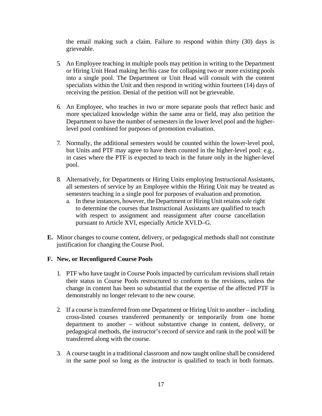the email making such a claim. Failure to respond within thirty (30) days is grieveable.

- 5. An Employee teaching in multiple pools may petition in writing to the Department or Hiring Unit Head making her/his case for collapsing two or more existing pools into a single pool. The Department or Unit Head will consult with the content specialists within the Unit and then respond in writing within fourteen (14) days of receiving the petition. Denial of the petition will not be grieveable.
- 6. An Employee, who teaches in two or more separate pools that reflect basic and more specialized knowledge within the same area or field, may also petition the Department to have the number of semesters in the lower level pool and the higherlevel pool combined for purposes of promotion evaluation.
- 7. Normally, the additional semesters would be counted within the lower-level pool, but Units and PTF may agree to have them counted in the higher-level pool: e.g., in cases where the PTF is expected to teach in the future only in the higher-level pool.
- 8. Alternatively, for Departments or Hiring Units employing Instructional Assistants, all semesters of service by an Employee within the Hiring Unit may be treated as semesters teaching in a single pool for purposes of evaluation and promotion.
	- a. In these instances, however, the Department or Hiring Unit retains sole right to determine the courses that Instructional Assistants are qualified to teach with respect to assignment and reassignment after course cancellation pursuant to Article XVI, especially Article XVI.D–G.
- **E.** Minor changes to course content, delivery, or pedagogical methods shall not constitute justification for changing the Course Pool.

### **F. New, or Reconfigured Course Pools**

- 1. PTF who have taught in Course Pools impacted by curriculum revisions shall retain their status in Course Pools restructured to conform to the revisions, unless the change in content has been so substantial that the expertise of the affected PTF is demonstrably no longer relevant to the new course.
- 2. If a course is transferred from one Department or Hiring Unit to another including cross-listed courses transferred permanently or temporarily from one home department to another – without substantive change in content, delivery, or pedagogical methods, the instructor's record of service and rank in the pool will be transferred along with the course.
- 3. A course taught in a traditional classroom and now taught online shall be considered in the same pool so long as the instructor is qualified to teach in both formats.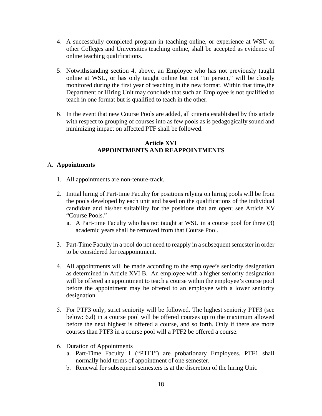- 4. A successfully completed program in teaching online, or experience at WSU or other Colleges and Universities teaching online, shall be accepted as evidence of online teaching qualifications.
- 5. Notwithstanding section 4, above, an Employee who has not previously taught online at WSU, or has only taught online but not "in person," will be closely monitored during the first year of teaching in the new format. Within that time,the Department or Hiring Unit may conclude that such an Employee is not qualified to teach in one format but is qualified to teach in the other.
- 6. In the event that new Course Pools are added, all criteria established by this article with respect to grouping of courses into as few pools as is pedagogically sound and minimizing impact on affected PTF shall be followed.

### **Article XVI APPOINTMENTS AND REAPPOINTMENTS**

### A. **Appointments**

- 1. All appointments are non-tenure-track.
- 2. Initial hiring of Part-time Faculty for positions relying on hiring pools will be from the pools developed by each unit and based on the qualifications of the individual candidate and his/her suitability for the positions that are open; see Article XV "Course Pools."
	- a. A Part-time Faculty who has not taught at WSU in a course pool for three (3) academic years shall be removed from that Course Pool.
- 3. Part-Time Faculty in a pool do not need to reapply in a subsequent semester in order to be considered for reappointment.
- 4. All appointments will be made according to the employee's seniority designation as determined in Article XVI B. An employee with a higher seniority designation will be offered an appointment to teach a course within the employee's course pool before the appointment may be offered to an employee with a lower seniority designation.
- 5. For PTF3 only, strict seniority will be followed. The highest seniority PTF3 (see below: 6.d) in a course pool will be offered courses up to the maximum allowed before the next highest is offered a course, and so forth. Only if there are more courses than PTF3 in a course pool will a PTF2 be offered a course.
- 6. Duration of Appointments
	- a. Part-Time Faculty 1 ("PTF1") are probationary Employees. PTF1 shall normally hold terms of appointment of one semester.
	- b. Renewal for subsequent semesters is at the discretion of the hiring Unit.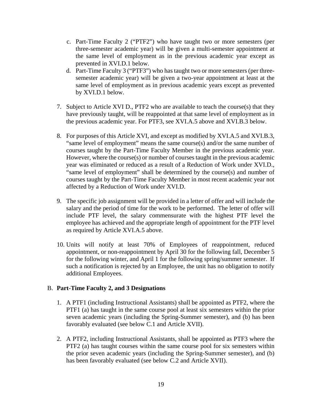- c. Part-Time Faculty 2 ("PTF2") who have taught two or more semesters (per three-semester academic year) will be given a multi-semester appointment at the same level of employment as in the previous academic year except as prevented in XVI.D.1 below.
- d. Part-Time Faculty 3 ("PTF3") who has taught two or more semesters (per threesemester academic year) will be given a two-year appointment at least at the same level of employment as in previous academic years except as prevented by XVI.D.1 below.
- 7. Subject to Article XVI D., PTF2 who are available to teach the course(s) that they have previously taught, will be reappointed at that same level of employment as in the previous academic year. For PTF3, see XVI.A.5 above and XVI.B.3 below.
- 8. For purposes of this Article XVI, and except as modified by XVI.A.5 and XVI.B.3, "same level of employment" means the same course(s) and/or the same number of courses taught by the Part-Time Faculty Member in the previous academic year. However, where the course(s) or number of courses taught in the previous academic year was eliminated or reduced as a result of a Reduction of Work under XVI.D., "same level of employment" shall be determined by the course(s) and number of courses taught by the Part-Time Faculty Member in most recent academic year not affected by a Reduction of Work under XVI.D.
- 9. The specific job assignment will be provided in a letter of offer and will include the salary and the period of time for the work to be performed. The letter of offer will include PTF level, the salary commensurate with the highest PTF level the employee has achieved and the appropriate length of appointment for the PTF level as required by Article XVI.A.5 above.
- 10. Units will notify at least 70% of Employees of reappointment, reduced appointment, or non-reappointment by April 30 for the following fall, December 5 for the following winter, and April 1 for the following spring/summer semester. If such a notification is rejected by an Employee, the unit has no obligation to notify additional Employees.

#### B. **Part-Time Faculty 2, and 3 Designations**

- 1. A PTF1 (including Instructional Assistants) shall be appointed as PTF2, where the PTF1 (a) has taught in the same course pool at least six semesters within the prior seven academic years (including the Spring-Summer semester), and (b) has been favorably evaluated (see below C.1 and Article XVII).
- 2. A PTF2, including Instructional Assistants, shall be appointed as PTF3 where the PTF2 (a) has taught courses within the same course pool for six semesters within the prior seven academic years (including the Spring-Summer semester), and (b) has been favorably evaluated (see below C.2 and Article XVII).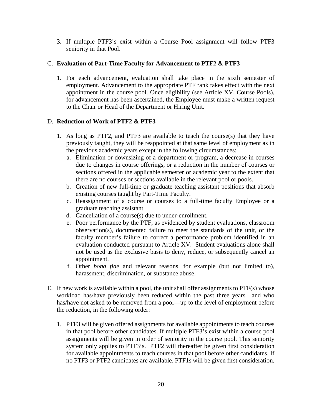3. If multiple PTF3's exist within a Course Pool assignment will follow PTF3 seniority in that Pool.

# C. **Evaluation of Part-Time Faculty for Advancement to PTF2 & PTF3**

1. For each advancement, evaluation shall take place in the sixth semester of employment. Advancement to the appropriate PTF rank takes effect with the next appointment in the course pool. Once eligibility (see Article XV, Course Pools), for advancement has been ascertained, the Employee must make a written request to the Chair or Head of the Department or Hiring Unit.

### D. **Reduction of Work of PTF2 & PTF3**

- 1. As long as PTF2, and PTF3 are available to teach the course(s) that they have previously taught, they will be reappointed at that same level of employment as in the previous academic years except in the following circumstances:
	- a. Elimination or downsizing of a department or program, a decrease in courses due to changes in course offerings, or a reduction in the number of courses or sections offered in the applicable semester or academic year to the extent that there are no courses or sections available in the relevant pool or pools.
	- b. Creation of new full-time or graduate teaching assistant positions that absorb existing courses taught by Part-Time Faculty.
	- c. Reassignment of a course or courses to a full-time faculty Employee or a graduate teaching assistant.
	- d. Cancellation of a course(s) due to under-enrollment.
	- e. Poor performance by the PTF, as evidenced by student evaluations, classroom observation(s), documented failure to meet the standards of the unit, or the faculty member's failure to correct a performance problem identified in an evaluation conducted pursuant to Article XV. Student evaluations alone shall not be used as the exclusive basis to deny, reduce, or subsequently cancel an appointment.
	- f. Other *bona fide* and relevant reasons, for example (but not limited to), harassment, discrimination, or substance abuse.
- E. If new work is available within a pool, the unit shall offer assignments to PTF(s) whose workload has/have previously been reduced within the past three years—and who has/have not asked to be removed from a pool—up to the level of employment before the reduction, in the following order:
	- 1. PTF3 will be given offered assignments for available appointments to teach courses in that pool before other candidates. If multiple PTF3's exist within a course pool assignments will be given in order of seniority in the course pool. This seniority system only applies to PTF3's. PTF2 will thereafter be given first consideration for available appointments to teach courses in that pool before other candidates. If no PTF3 or PTF2 candidates are available, PTF1s will be given first consideration.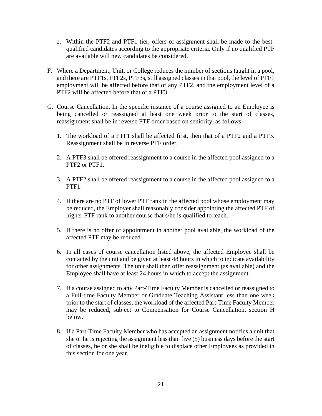- 2. Within the PTF2 and PTF1 tier, offers of assignment shall be made to the bestqualified candidates according to the appropriate criteria. Only if no qualified PTF are available will new candidates be considered.
- F. Where a Department, Unit, or College reduces the number of sections taught in a pool, and there are PTF1s, PTF2s, PTF3s, still assigned classes in that pool, the level of PTF1 employment will be affected before that of any PTF2, and the employment level of a PTF2 will be affected before that of a PTF3.
- G. Course Cancellation. In the specific instance of a course assigned to an Employee is being cancelled or reassigned at least one week prior to the start of classes, reassignment shall be in reverse PTF order based on seniority, as follows:
	- 1. The workload of a PTF1 shall be affected first, then that of a PTF2 and a PTF3. Reassignment shall be in reverse PTF order.
	- 2. A PTF3 shall be offered reassignment to a course in the affected pool assigned to a PTF2 or PTF1.
	- 3. A PTF2 shall be offered reassignment to a course in the affected pool assigned to a PTF<sub>1</sub>.
	- 4. If there are no PTF of lower PTF rank in the affected pool whose employment may be reduced, the Employer shall reasonably consider appointing the affected PTF of higher PTF rank to another course that s/he is qualified to teach.
	- 5. If there is no offer of appointment in another pool available, the workload of the affected PTF may be reduced.
	- 6. In all cases of course cancellation listed above, the affected Employee shall be contacted by the unit and be given at least 48 hours in which to indicate availability for other assignments. The unit shall then offer reassignment (as available) and the Employee shall have at least 24 hours in which to accept the assignment.
	- 7. If a course assigned to any Part-Time Faculty Member is cancelled or reassigned to a Full-time Faculty Member or Graduate Teaching Assistant less than one week prior to the start of classes, the workload of the affected Part-Time Faculty Member may be reduced, subject to Compensation for Course Cancellation, section H below.
	- 8. If a Part-Time Faculty Member who has accepted an assignment notifies a unit that she or he is rejecting the assignment less than five (5) business days before the start of classes, he or she shall be ineligible to displace other Employees as provided in this section for one year.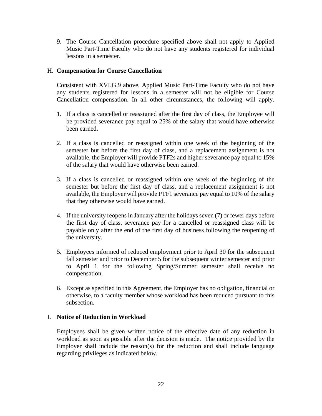9. The Course Cancellation procedure specified above shall not apply to Applied Music Part-Time Faculty who do not have any students registered for individual lessons in a semester.

### H. **Compensation for Course Cancellation**

Consistent with XVI.G.9 above, Applied Music Part-Time Faculty who do not have any students registered for lessons in a semester will not be eligible for Course Cancellation compensation. In all other circumstances, the following will apply.

- 1. If a class is cancelled or reassigned after the first day of class, the Employee will be provided severance pay equal to 25% of the salary that would have otherwise been earned.
- 2. If a class is cancelled or reassigned within one week of the beginning of the semester but before the first day of class, and a replacement assignment is not available, the Employer will provide PTF2s and higher severance pay equal to 15% of the salary that would have otherwise been earned.
- 3. If a class is cancelled or reassigned within one week of the beginning of the semester but before the first day of class, and a replacement assignment is not available, the Employer will provide PTF1 severance pay equal to 10% of the salary that they otherwise would have earned.
- 4. If the university reopens in January after the holidays seven (7) or fewer days before the first day of class, severance pay for a cancelled or reassigned class will be payable only after the end of the first day of business following the reopening of the university.
- 5. Employees informed of reduced employment prior to April 30 for the subsequent fall semester and prior to December 5 for the subsequent winter semester and prior to April 1 for the following Spring/Summer semester shall receive no compensation.
- 6. Except as specified in this Agreement, the Employer has no obligation, financial or otherwise, to a faculty member whose workload has been reduced pursuant to this subsection.

#### I. **Notice of Reduction in Workload**

Employees shall be given written notice of the effective date of any reduction in workload as soon as possible after the decision is made. The notice provided by the Employer shall include the reason(s) for the reduction and shall include language regarding privileges as indicated below.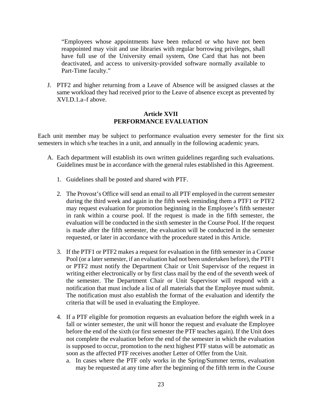"Employees whose appointments have been reduced or who have not been reappointed may visit and use libraries with regular borrowing privileges, shall have full use of the University email system, One Card that has not been deactivated, and access to university-provided software normally available to Part-Time faculty."

J. PTF2 and higher returning from a Leave of Absence will be assigned classes at the same workload they had received prior to the Leave of absence except as prevented by XVI.D.1.a–f above.

### **Article XVII PERFORMANCE EVALUATION**

Each unit member may be subject to performance evaluation every semester for the first six semesters in which s/he teaches in a unit, and annually in the following academic years.

- A. Each department will establish its own written guidelines regarding such evaluations. Guidelines must be in accordance with the general rules established in this Agreement.
	- 1. Guidelines shall be posted and shared with PTF.
	- 2. The Provost's Office will send an email to all PTF employed in the current semester during the third week and again in the fifth week reminding them a PTF1 or PTF2 may request evaluation for promotion beginning in the Employee's fifth semester in rank within a course pool. If the request is made in the fifth semester, the evaluation will be conducted in the sixth semester in the Course Pool. If the request is made after the fifth semester, the evaluation will be conducted in the semester requested, or later in accordance with the procedure stated in this Article.
	- 3. If the PTF1 or PTF2 makes a request for evaluation in the fifth semester in a Course Pool (or a later semester, if an evaluation had not been undertaken before), the PTF1 or PTF2 must notify the Department Chair or Unit Supervisor of the request in writing either electronically or by first class mail by the end of the seventh week of the semester. The Department Chair or Unit Supervisor will respond with a notification that must include a list of all materials that the Employee must submit. The notification must also establish the format of the evaluation and identify the criteria that will be used in evaluating the Employee.
	- 4. If a PTF eligible for promotion requests an evaluation before the eighth week in a fall or winter semester, the unit will honor the request and evaluate the Employee before the end of the sixth (or first semester the PTF teaches again). If the Unit does not complete the evaluation before the end of the semester in which the evaluation is supposed to occur, promotion to the next highest PTF status will be automatic as soon as the affected PTF receives another Letter of Offer from the Unit.
		- a. In cases where the PTF only works in the Spring/Summer terms, evaluation may be requested at any time after the beginning of the fifth term in the Course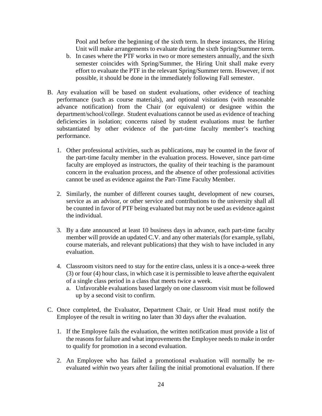Pool and before the beginning of the sixth term. In these instances, the Hiring Unit will make arrangements to evaluate during the sixth Spring/Summer term.

- b. In cases where the PTF works in two or more semesters annually, and the sixth semester coincides with Spring/Summer, the Hiring Unit shall make every effort to evaluate the PTF in the relevant Spring/Summer term. However, if not possible, it should be done in the immediately following Fall semester.
- B. Any evaluation will be based on student evaluations, other evidence of teaching performance (such as course materials), and optional visitations (with reasonable advance notification) from the Chair (or equivalent) or designee within the department/school/college. Student evaluations cannot be used as evidence of teaching deficiencies in isolation; concerns raised by student evaluations must be further substantiated by other evidence of the part-time faculty member's teaching performance.
	- 1. Other professional activities, such as publications, may be counted in the favor of the part-time faculty member in the evaluation process. However, since part-time faculty are employed as instructors, the quality of their teaching is the paramount concern in the evaluation process, and the absence of other professional activities cannot be used as evidence against the Part-Time Faculty Member.
	- 2. Similarly, the number of different courses taught, development of new courses, service as an advisor, or other service and contributions to the university shall all be counted in favor of PTF being evaluated but may not be used as evidence against the individual.
	- 3. By a date announced at least 10 business days in advance, each part-time faculty member will provide an updated C.V. and any other materials (for example, syllabi, course materials, and relevant publications) that they wish to have included in any evaluation.
	- 4. Classroom visitors need to stay for the entire class, unless it is a once-a-week three (3) or four (4) hour class, in which case it is permissible to leave afterthe equivalent of a single class period in a class that meets twice a week.
		- a. Unfavorable evaluations based largely on one classroom visit must be followed up by a second visit to confirm.
- C. Once completed, the Evaluator, Department Chair, or Unit Head must notify the Employee of the result in writing no later than 30 days after the evaluation.
	- 1. If the Employee fails the evaluation, the written notification must provide a list of the reasons for failure and what improvements the Employee needs to make in order to qualify for promotion in a second evaluation.
	- 2. An Employee who has failed a promotional evaluation will normally be reevaluated *within* two years after failing the initial promotional evaluation. If there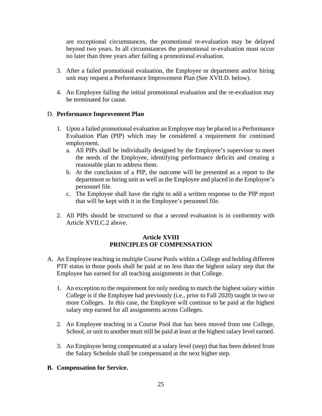are exceptional circumstances, the promotional re-evaluation may be delayed beyond two years. In all circumstances the promotional re-evaluation must occur no later than three years after failing a promotional evaluation.

- 3. After a failed promotional evaluation, the Employee or department and/or hiring unit may request a Performance Improvement Plan (See XVII.D. below).
- 4. An Employee failing the initial promotional evaluation and the re-evaluation may be terminated for cause.

# D. **Performance Improvement Plan**

- 1. Upon a failed promotional evaluation an Employee may be placed in a Performance Evaluation Plan (PIP) which may be considered a requirement for continued employment.
	- a. All PIPs shall be individually designed by the Employee's supervisor to meet the needs of the Employee, identifying performance deficits and creating a reasonable plan to address them.
	- b. At the conclusion of a PIP, the outcome will be presented as a report to the department or hiring unit as well as the Employee and placed in the Employee's personnel file.
	- c. The Employee shall have the right to add a written response to the PIP report that will be kept with it in the Employee's personnel file.
- 2. All PIPs should be structured so that a second evaluation is in conformity with Article XVII.C.2 above.

### **Article XVIII PRINCIPLES OF COMPENSATION**

- A. An Employee teaching in multiple Course Pools within a College and holding different PTF status in those pools shall be paid at no less than the highest salary step that the Employee has earned for all teaching assignments in that College.
	- 1. An exception to the requirement for only needing to match the highest salary within College is if the Employee had previously (i.e., prior to Fall 2020) taught in two or more Colleges. In this case, the Employee will continue to be paid at the highest salary step earned for all assignments across Colleges.
	- 2. An Employee teaching in a Course Pool that has been moved from one College, School, or unit to another must still be paid at least at the highest salary level earned.
	- 3. An Employee being compensated at a salary level (step) that has been deleted from the Salary Schedule shall be compensated at the next higher step.

### **B. Compensation for Service.**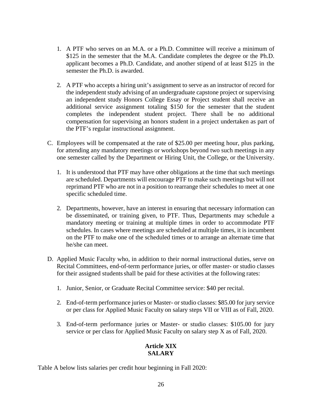- 1. A PTF who serves on an M.A. or a Ph.D. Committee will receive a minimum of \$125 in the semester that the M.A. Candidate completes the degree or the Ph.D. applicant becomes a Ph.D. Candidate, and another stipend of at least \$125 in the semester the Ph.D. is awarded.
- 2. A PTF who accepts a hiring unit's assignment to serve as an instructor of record for the independent study advising of an undergraduate capstone project or supervising an independent study Honors College Essay or Project student shall receive an additional service assignment totaling \$150 for the semester that the student completes the independent student project. There shall be no additional compensation for supervising an honors student in a project undertaken as part of the PTF's regular instructional assignment.
- C. Employees will be compensated at the rate of \$25.00 per meeting hour, plus parking, for attending any mandatory meetings or workshops beyond two such meetings in any one semester called by the Department or Hiring Unit, the College, or the University.
	- 1. It is understood that PTF may have other obligations at the time that such meetings are scheduled. Departments will encourage PTF to make such meetings but will not reprimand PTF who are not in a position to rearrange their schedules to meet at one specific scheduled time.
	- 2. Departments, however, have an interest in ensuring that necessary information can be disseminated, or training given, to PTF. Thus, Departments may schedule a mandatory meeting or training at multiple times in order to accommodate PTF schedules. In cases where meetings are scheduled at multiple times, it is incumbent on the PTF to make one of the scheduled times or to arrange an alternate time that he/she can meet.
- D. Applied Music Faculty who, in addition to their normal instructional duties, serve on Recital Committees, end-of-term performance juries, or offer master- or studio classes for their assigned students shall be paid for these activities at the following rates:
	- 1. Junior, Senior, or Graduate Recital Committee service: \$40 per recital.
	- 2. End-of-term performance juries or Master- or studio classes: \$85.00 for jury service or per class for Applied Music Faculty on salary steps VII or VIII as of Fall, 2020.
	- 3. End-of-term performance juries or Master- or studio classes: \$105.00 for jury service or per class for Applied Music Faculty on salary step X as of Fall, 2020.

### **Article XIX SALARY**

Table A below lists salaries per credit hour beginning in Fall 2020: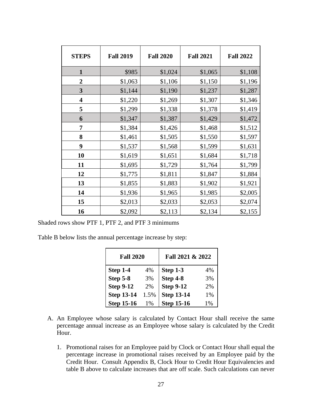| <b>STEPS</b>            | <b>Fall 2019</b> | <b>Fall 2020</b> | <b>Fall 2021</b> | <b>Fall 2022</b> |
|-------------------------|------------------|------------------|------------------|------------------|
| 1                       | \$985            | \$1,024          | \$1,065          | \$1,108          |
| $\overline{2}$          | \$1,063          | \$1,106          | \$1,150          | \$1,196          |
| 3                       | \$1,144          | \$1,190          | \$1,237          | \$1,287          |
| $\overline{\mathbf{4}}$ | \$1,220          | \$1,269          | \$1,307          | \$1,346          |
| 5                       | \$1,299          | \$1,338          | \$1,378          | \$1,419          |
| 6                       | \$1,347          | \$1,387          | \$1,429          | \$1,472          |
| 7                       | \$1,384          | \$1,426          | \$1,468          | \$1,512          |
| 8                       | \$1,461          | \$1,505          | \$1,550          | \$1,597          |
| 9                       | \$1,537          | \$1,568          | \$1,599          | \$1,631          |
| 10                      | \$1,619          | \$1,651          | \$1,684          | \$1,718          |
| 11                      | \$1,695          | \$1,729          | \$1,764          | \$1,799          |
| 12                      | \$1,775          | \$1,811          | \$1,847          | \$1,884          |
| 13                      | \$1,855          | \$1,883          | \$1,902          | \$1,921          |
| 14                      | \$1,936          | \$1,965          | \$1,985          | \$2,005          |
| 15                      | \$2,013          | \$2,033          | \$2,053          | \$2,074          |
| 16                      | \$2,092          | \$2,113          | \$2,134          | \$2,155          |

Shaded rows show PTF 1, PTF 2, and PTF 3 minimums

Table B below lists the annual percentage increase by step:

| <b>Fall 2020</b>  |      | Fall 2021 & 2022  |    |
|-------------------|------|-------------------|----|
| Step 1-4          | 4%   | Step 1-3          | 4% |
| <b>Step 5-8</b>   | 3%   | Step 4-8          | 3% |
| <b>Step 9-12</b>  | 2%   | <b>Step 9-12</b>  | 2% |
| <b>Step 13-14</b> | 1.5% | <b>Step 13-14</b> | 1% |
| <b>Step 15-16</b> | 1%   | <b>Step 15-16</b> | 1% |

- A. An Employee whose salary is calculated by Contact Hour shall receive the same percentage annual increase as an Employee whose salary is calculated by the Credit Hour.
	- 1. Promotional raises for an Employee paid by Clock or Contact Hour shall equal the percentage increase in promotional raises received by an Employee paid by the Credit Hour. Consult Appendix B, Clock Hour to Credit Hour Equivalencies and table B above to calculate increases that are off scale. Such calculations can never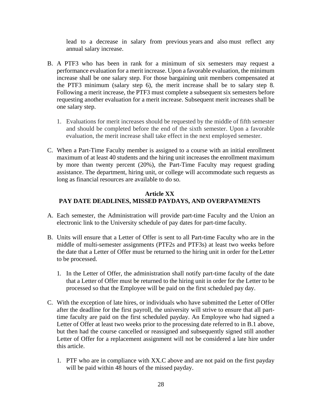lead to a decrease in salary from previous years and also must reflect any annual salary increase.

- B. A PTF3 who has been in rank for a minimum of six semesters may request a performance evaluation for a merit increase. Upon a favorable evaluation, the minimum increase shall be one salary step. For those bargaining unit members compensated at the PTF3 minimum (salary step 6), the merit increase shall be to salary step 8. Following a merit increase, the PTF3 must complete a subsequent six semesters before requesting another evaluation for a merit increase. Subsequent merit increases shall be one salary step.
	- 1. Evaluations for merit increases should be requested by the middle of fifth semester and should be completed before the end of the sixth semester. Upon a favorable evaluation, the merit increase shall take effect in the next employed semester.
- C. When a Part-Time Faculty member is assigned to a course with an initial enrollment maximum of at least 40 students and the hiring unit increases the enrollment maximum by more than twenty percent (20%), the Part-Time Faculty may request grading assistance. The department, hiring unit, or college will accommodate such requests as long as financial resources are available to do so.

# **Article XX PAY DATE DEADLINES, MISSED PAYDAYS, AND OVERPAYMENTS**

- A. Each semester, the Administration will provide part-time Faculty and the Union an electronic link to the University schedule of pay dates for part-time faculty.
- B. Units will ensure that a Letter of Offer is sent to all Part-time Faculty who are in the middle of multi-semester assignments (PTF2s and PTF3s) at least two weeks before the date that a Letter of Offer must be returned to the hiring unit in order for theLetter to be processed.
	- 1. In the Letter of Offer, the administration shall notify part-time faculty of the date that a Letter of Offer must be returned to the hiring unit in order for the Letter to be processed so that the Employee will be paid on the first scheduled pay day.
- C. With the exception of late hires, or individuals who have submitted the Letter of Offer after the deadline for the first payroll, the university will strive to ensure that all parttime faculty are paid on the first scheduled payday. An Employee who had signed a Letter of Offer at least two weeks prior to the processing date referred to in B.1 above, but then had the course cancelled or reassigned and subsequently signed still another Letter of Offer for a replacement assignment will not be considered a late hire under this article.
	- 1. PTF who are in compliance with XX.C above and are not paid on the first payday will be paid within 48 hours of the missed payday.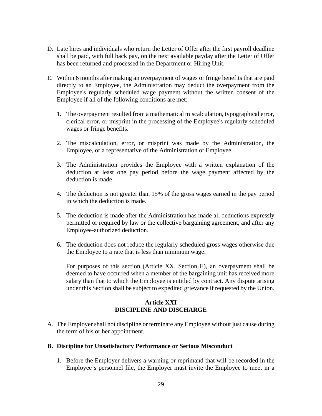- D. Late hires and individuals who return the Letter of Offer after the first payroll deadline shall be paid, with full back pay, on the next available payday after the Letter of Offer has been returned and processed in the Department or Hiring Unit.
- E. Within 6 months after making an overpayment of wages or fringe benefits that are paid directly to an Employee, the Administration may deduct the overpayment from the Employee's regularly scheduled wage payment without the written consent of the Employee if all of the following conditions are met:
	- 1. The overpayment resulted from a mathematical miscalculation, typographical error, clerical error, or misprint in the processing of the Employee's regularly scheduled wages or fringe benefits.
	- 2. The miscalculation, error, or misprint was made by the Administration, the Employee, or a representative of the Administration or Employee.
	- 3. The Administration provides the Employee with a written explanation of the deduction at least one pay period before the wage payment affected by the deduction is made.
	- 4. The deduction is not greater than 15% of the gross wages earned in the pay period in which the deduction is made.
	- 5. The deduction is made after the Administration has made all deductions expressly permitted or required by law or the collective bargaining agreement, and after any Employee-authorized deduction.
	- 6. The deduction does not reduce the regularly scheduled gross wages otherwise due the Employee to a rate that is less than minimum wage.

For purposes of this section (Article XX, Section E), an overpayment shall be deemed to have occurred when a member of the bargaining unit has received more salary than that to which the Employee is entitled by contract. Any dispute arising under this Section shall be subject to expedited grievance if requested by the Union.

### **Article XXI DISCIPLINE AND DISCHARGE**

A. The Employer shall not discipline or terminate any Employee without just cause during the term of his or her appointment.

### **B. Discipline for Unsatisfactory Performance or Serious Misconduct**

1. Before the Employer delivers a warning or reprimand that will be recorded in the Employee's personnel file, the Employer must invite the Employee to meet in a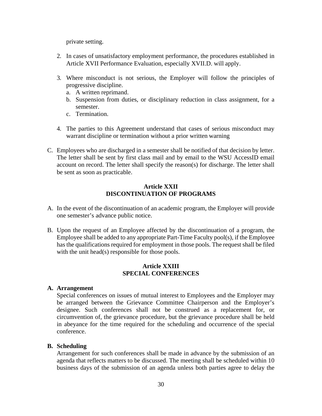private setting.

- 2. In cases of unsatisfactory employment performance, the procedures established in Article XVII Performance Evaluation, especially XVII.D. will apply.
- 3. Where misconduct is not serious, the Employer will follow the principles of progressive discipline.
	- a. A written reprimand.
	- b. Suspension from duties, or disciplinary reduction in class assignment, for a semester.
	- c. Termination.
- 4. The parties to this Agreement understand that cases of serious misconduct may warrant discipline or termination without a prior written warning
- C. Employees who are discharged in a semester shall be notified of that decision by letter. The letter shall be sent by first class mail and by email to the WSU AccessID email account on record. The letter shall specify the reason(s) for discharge. The letter shall be sent as soon as practicable.

### **Article XXII DISCONTINUATION OF PROGRAMS**

- A. In the event of the discontinuation of an academic program, the Employer will provide one semester's advance public notice.
- B. Upon the request of an Employee affected by the discontinuation of a program, the Employee shall be added to any appropriate Part-Time Faculty pool(s), if the Employee has the qualifications required for employment in those pools. The request shall be filed with the unit head(s) responsible for those pools.

### **Article XXIII SPECIAL CONFERENCES**

#### **A. Arrangement**

Special conferences on issues of mutual interest to Employees and the Employer may be arranged between the Grievance Committee Chairperson and the Employer's designee. Such conferences shall not be construed as a replacement for, or circumvention of, the grievance procedure, but the grievance procedure shall be held in abeyance for the time required for the scheduling and occurrence of the special conference.

#### **B. Scheduling**

Arrangement for such conferences shall be made in advance by the submission of an agenda that reflects matters to be discussed. The meeting shall be scheduled within 10 business days of the submission of an agenda unless both parties agree to delay the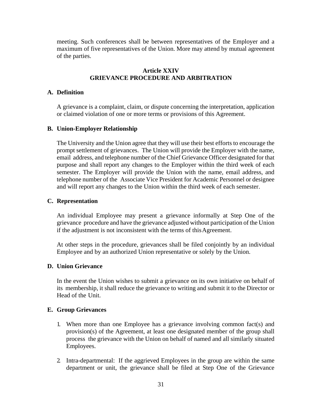meeting. Such conferences shall be between representatives of the Employer and a maximum of five representatives of the Union. More may attend by mutual agreement of the parties.

### **Article XXIV GRIEVANCE PROCEDURE AND ARBITRATION**

### **A. Definition**

A grievance is a complaint, claim, or dispute concerning the interpretation, application or claimed violation of one or more terms or provisions of this Agreement.

#### **B. Union-Employer Relationship**

The University and the Union agree that they will use their best efforts to encourage the prompt settlement of grievances. The Union will provide the Employer with the name, email address, and telephone number of the Chief Grievance Officer designated for that purpose and shall report any changes to the Employer within the third week of each semester. The Employer will provide the Union with the name, email address, and telephone number of the Associate Vice President for Academic Personnel or designee and will report any changes to the Union within the third week of each semester.

#### **C. Representation**

An individual Employee may present a grievance informally at Step One of the grievance procedure and have the grievance adjusted without participation of the Union if the adjustment is not inconsistent with the terms of thisAgreement.

At other steps in the procedure, grievances shall be filed conjointly by an individual Employee and by an authorized Union representative or solely by the Union.

### **D. Union Grievance**

In the event the Union wishes to submit a grievance on its own initiative on behalf of its membership, it shall reduce the grievance to writing and submit it to the Director or Head of the Unit.

#### **E. Group Grievances**

- 1. When more than one Employee has a grievance involving common fact(s) and provision(s) of the Agreement, at least one designated member of the group shall process the grievance with the Union on behalf of named and all similarly situated Employees.
- 2. Intra-departmental: If the aggrieved Employees in the group are within the same department or unit, the grievance shall be filed at Step One of the Grievance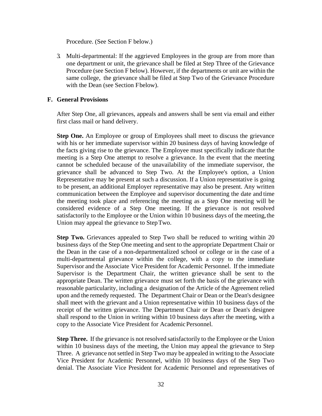Procedure. (See Section F below.)

3. Multi-departmental: If the aggrieved Employees in the group are from more than one department or unit, the grievance shall be filed at Step Three of the Grievance Procedure (see Section F below). However, if the departments or unit are within the same college, the grievance shall be filed at Step Two of the Grievance Procedure with the Dean (see Section Fbelow).

### **F. General Provisions**

After Step One, all grievances, appeals and answers shall be sent via email and either first class mail or hand delivery.

**Step One.** An Employee or group of Employees shall meet to discuss the grievance with his or her immediate supervisor within 20 business days of having knowledge of the facts giving rise to the grievance. The Employee must specifically indicate thatthe meeting is a Step One attempt to resolve a grievance. In the event that the meeting cannot be scheduled because of the unavailability of the immediate supervisor, the grievance shall be advanced to Step Two. At the Employee's option, a Union Representative may be present at such a discussion. If a Union representative is going to be present, an additional Employer representative may also be present. Any written communication between the Employee and supervisor documenting the date and time the meeting took place and referencing the meeting as a Step One meeting will be considered evidence of a Step One meeting. If the grievance is not resolved satisfactorily to the Employee or the Union within 10 business days of the meeting, the Union may appeal the grievance to StepTwo.

**Step Two.** Grievances appealed to Step Two shall be reduced to writing within 20 business days of the Step One meeting and sent to the appropriate Department Chair or the Dean in the case of a non-departmentalized school or college or in the case of a multi-departmental grievance within the college, with a copy to the immediate Supervisor and the Associate Vice President for Academic Personnel. If the immediate Supervisor is the Department Chair, the written grievance shall be sent to the appropriate Dean. The written grievance must set forth the basis of the grievance with reasonable particularity, including a designation of the Article of the Agreement relied upon and the remedy requested. The Department Chair or Dean or the Dean's designee shall meet with the grievant and a Union representative within 10 business days of the receipt of the written grievance. The Department Chair or Dean or Dean's designee shall respond to the Union in writing within 10 business days after the meeting, with a copy to the Associate Vice President for Academic Personnel.

**Step Three.** If the grievance is not resolved satisfactorily to the Employee or the Union within 10 business days of the meeting, the Union may appeal the grievance to Step Three. A grievance not settled in Step Two may be appealed in writing to the Associate Vice President for Academic Personnel, within 10 business days of the Step Two denial. The Associate Vice President for Academic Personnel and representatives of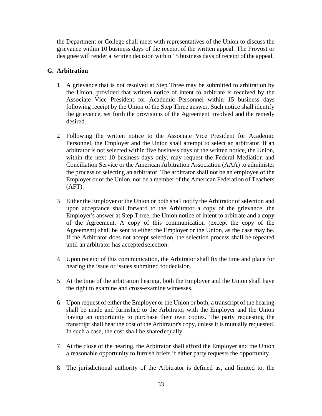the Department or College shall meet with representatives of the Union to discuss the grievance within 10 business days of the receipt of the written appeal. The Provost or designee will render a written decision within 15 business days of receipt of the appeal.

# **G. Arbitration**

- 1. A grievance that is not resolved at Step Three may be submitted to arbitration by the Union, provided that written notice of intent to arbitrate is received by the Associate Vice President for Academic Personnel within 15 business days following receipt by the Union of the Step Three answer. Such notice shall identify the grievance, set forth the provisions of the Agreement involved and the remedy desired.
- 2. Following the written notice to the Associate Vice President for Academic Personnel, the Employer and the Union shall attempt to select an arbitrator. If an arbitrator is not selected within five business days of the written notice, the Union, within the next 10 business days only, may request the Federal Mediation and Conciliation Service or the American Arbitration Association (AAA) to administer the process of selecting an arbitrator. The arbitrator shall not be an employee of the Employer or of the Union, nor be a member of the American Federation of Teachers (AFT).
- 3. Either the Employer or the Union or both shall notify the Arbitrator of selection and upon acceptance shall forward to the Arbitrator a copy of the grievance, the Employer's answer at Step Three, the Union notice of intent to arbitrate and a copy of the Agreement. A copy of this communication (except the copy of the Agreement) shall be sent to either the Employer or the Union, as the case may be. If the Arbitrator does not accept selection, the selection process shall be repeated until an arbitrator has accepted selection.
- 4. Upon receipt of this communication, the Arbitrator shall fix the time and place for hearing the issue or issues submitted for decision.
- 5. At the time of the arbitration hearing, both the Employer and the Union shall have the right to examine and cross-examine witnesses.
- 6. Upon request of either the Employer or the Union or both, a transcript of the hearing shall be made and furnished to the Arbitrator with the Employer and the Union having an opportunity to purchase their own copies. The party requesting the transcript shall bear the cost of the Arbitrator's copy, unless it is mutually requested. In such a case, the cost shall be sharedequally.
- 7. At the close of the hearing, the Arbitrator shall afford the Employer and the Union a reasonable opportunity to furnish briefs if either party requests the opportunity.
- 8. The jurisdictional authority of the Arbitrator is defined as, and limited to, the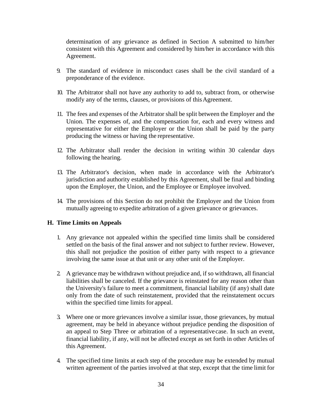determination of any grievance as defined in Section A submitted to him/her consistent with this Agreement and considered by him/her in accordance with this Agreement.

- 9. The standard of evidence in misconduct cases shall be the civil standard of a preponderance of the evidence.
- 10. The Arbitrator shall not have any authority to add to, subtract from, or otherwise modify any of the terms, clauses, or provisions of this Agreement.
- 11. The fees and expenses of the Arbitrator shall be split between the Employer and the Union. The expenses of, and the compensation for, each and every witness and representative for either the Employer or the Union shall be paid by the party producing the witness or having the representative.
- 12. The Arbitrator shall render the decision in writing within 30 calendar days following the hearing.
- 13. The Arbitrator's decision, when made in accordance with the Arbitrator's jurisdiction and authority established by this Agreement, shall be final and binding upon the Employer, the Union, and the Employee or Employee involved.
- 14. The provisions of this Section do not prohibit the Employer and the Union from mutually agreeing to expedite arbitration of a given grievance or grievances.

### **H. Time Limits on Appeals**

- 1. Any grievance not appealed within the specified time limits shall be considered settled on the basis of the final answer and not subject to further review. However, this shall not prejudice the position of either party with respect to a grievance involving the same issue at that unit or any other unit of the Employer.
- 2. A grievance may be withdrawn without prejudice and, if so withdrawn, all financial liabilities shall be canceled. If the grievance is reinstated for any reason other than the University's failure to meet a commitment, financial liability (if any) shall date only from the date of such reinstatement, provided that the reinstatement occurs within the specified time limits for appeal.
- 3. Where one or more grievances involve a similar issue, those grievances, by mutual agreement, may be held in abeyance without prejudice pending the disposition of an appeal to Step Three or arbitration of a representative case. In such an event, financial liability, if any, will not be affected except as set forth in other Articles of this Agreement.
- 4. The specified time limits at each step of the procedure may be extended by mutual written agreement of the parties involved at that step, except that the time limit for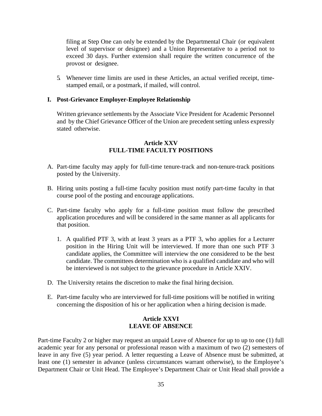filing at Step One can only be extended by the Departmental Chair (or equivalent level of supervisor or designee) and a Union Representative to a period not to exceed 30 days. Further extension shall require the written concurrence of the provost or designee.

5. Whenever time limits are used in these Articles, an actual verified receipt, timestamped email, or a postmark, if mailed, will control.

#### **I. Post-Grievance Employer-Employee Relationship**

Written grievance settlements by the Associate Vice President for Academic Personnel and by the Chief Grievance Officer of the Union are precedent setting unless expressly stated otherwise.

### **Article XXV FULL-TIME FACULTY POSITIONS**

- A. Part-time faculty may apply for full-time tenure-track and non-tenure-track positions posted by the University.
- B. Hiring units posting a full-time faculty position must notify part-time faculty in that course pool of the posting and encourage applications.
- C. Part-time faculty who apply for a full-time position must follow the prescribed application procedures and will be considered in the same manner as all applicants for that position.
	- 1. A qualified PTF 3, with at least 3 years as a PTF 3, who applies for a Lecturer position in the Hiring Unit will be interviewed. If more than one such PTF 3 candidate applies, the Committee will interview the one considered to be the best candidate. The committees determination who is a qualified candidate and who will be interviewed is not subject to the grievance procedure in Article XXIV.
- D. The University retains the discretion to make the final hiring decision.
- E. Part-time faculty who are interviewed for full-time positions will be notified in writing concerning the disposition of his or her application when a hiring decision is made.

### **Article XXVI LEAVE OF ABSENCE**

Part-time Faculty 2 or higher may request an unpaid Leave of Absence for up to up to one (1) full academic year for any personal or professional reason with a maximum of two (2) semesters of leave in any five (5) year period. A letter requesting a Leave of Absence must be submitted, at least one (1) semester in advance (unless circumstances warrant otherwise), to the Employee's Department Chair or Unit Head. The Employee's Department Chair or Unit Head shall provide a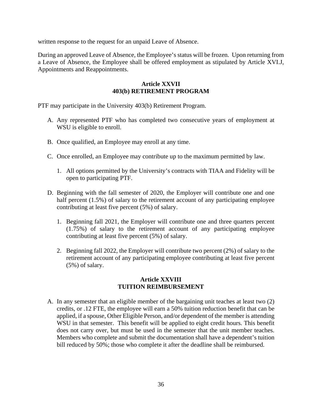written response to the request for an unpaid Leave of Absence.

During an approved Leave of Absence, the Employee's status will be frozen. Upon returning from a Leave of Absence, the Employee shall be offered employment as stipulated by Article XVI.J, Appointments and Reappointments.

### **Article XXVII 403(b) RETIREMENT PROGRAM**

PTF may participate in the University 403(b) Retirement Program.

- A. Any represented PTF who has completed two consecutive years of employment at WSU is eligible to enroll.
- B. Once qualified, an Employee may enroll at any time.
- C. Once enrolled, an Employee may contribute up to the maximum permitted by law.
	- 1. All options permitted by the University's contracts with TIAA and Fidelity will be open to participating PTF.
- D. Beginning with the fall semester of 2020, the Employer will contribute one and one half percent (1.5%) of salary to the retirement account of any participating employee contributing at least five percent (5%) of salary.
	- 1. Beginning fall 2021, the Employer will contribute one and three quarters percent (1.75%) of salary to the retirement account of any participating employee contributing at least five percent (5%) of salary.
	- 2. Beginning fall 2022, the Employer will contribute two percent (2%) of salary to the retirement account of any participating employee contributing at least five percent (5%) of salary.

### **Article XXVIII TUITION REIMBURSEMENT**

A. In any semester that an eligible member of the bargaining unit teaches at least two (2) credits, or .12 FTE, the employee will earn a 50% tuition reduction benefit that can be applied, if a spouse, Other Eligible Person, and/or dependent of the member is attending WSU in that semester. This benefit will be applied to eight credit hours. This benefit does not carry over, but must be used in the semester that the unit member teaches. Members who complete and submit the documentation shall have a dependent's tuition bill reduced by 50%; those who complete it after the deadline shall be reimbursed.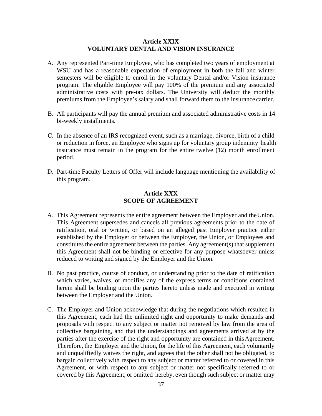#### **Article XXIX VOLUNTARY DENTAL AND VISION INSURANCE**

- A. Any represented Part-time Employee, who has completed two years of employment at WSU and has a reasonable expectation of employment in both the fall and winter semesters will be eligible to enroll in the voluntary Dental and/or Vision insurance program. The eligible Employee will pay 100% of the premium and any associated administrative costs with pre-tax dollars. The University will deduct the monthly premiums from the Employee's salary and shall forward them to the insurance carrier.
- B. All participants will pay the annual premium and associated administrative costs in 14 bi-weekly installments.
- C. In the absence of an IRS recognized event, such as a marriage, divorce, birth of a child or reduction in force, an Employee who signs up for voluntary group indemnity health insurance must remain in the program for the entire twelve (12) month enrollment period.
- D. Part-time Faculty Letters of Offer will include language mentioning the availability of this program.

### **Article XXX SCOPE OF AGREEMENT**

- A. This Agreement represents the entire agreement between the Employer and theUnion. This Agreement supersedes and cancels all previous agreements prior to the date of ratification, oral or written, or based on an alleged past Employer practice either established by the Employer or between the Employer, the Union, or Employees and constitutes the entire agreement between the parties. Any agreement(s) that supplement this Agreement shall not be binding or effective for any purpose whatsoever unless reduced to writing and signed by the Employer and the Union.
- B. No past practice, course of conduct, or understanding prior to the date of ratification which varies, waives, or modifies any of the express terms or conditions contained herein shall be binding upon the parties hereto unless made and executed in writing between the Employer and the Union.
- C. The Employer and Union acknowledge that during the negotiations which resulted in this Agreement, each had the unlimited right and opportunity to make demands and proposals with respect to any subject or matter not removed by law from the area of collective bargaining, and that the understandings and agreements arrived at by the parties after the exercise of the right and opportunity are contained in this Agreement. Therefore, the Employer and the Union, for the life of this Agreement, each voluntarily and unqualifiedly waives the right, and agrees that the other shall not be obligated, to bargain collectively with respect to any subject or matter referred to or covered in this Agreement, or with respect to any subject or matter not specifically referred to or covered by this Agreement, or omitted hereby, even though such subject or matter may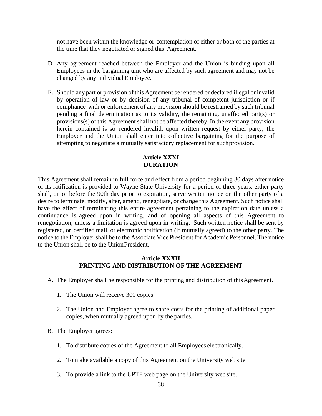not have been within the knowledge or contemplation of either or both of the parties at the time that they negotiated or signed this Agreement.

- D. Any agreement reached between the Employer and the Union is binding upon all Employees in the bargaining unit who are affected by such agreement and may not be changed by any individualEmployee.
- E. Should any part or provision of this Agreement be rendered or declared illegal or invalid by operation of law or by decision of any tribunal of competent jurisdiction or if compliance with or enforcement of any provision should be restrained by such tribunal pending a final determination as to its validity, the remaining, unaffected part(s) or provisions(s) of this Agreement shall not be affected thereby. In the event any provision herein contained is so rendered invalid, upon written request by either party, the Employer and the Union shall enter into collective bargaining for the purpose of attempting to negotiate a mutually satisfactory replacement for suchprovision.

# **Article XXXI DURATION**

This Agreement shall remain in full force and effect from a period beginning 30 days after notice of its ratification is provided to Wayne State University for a period of three years, either party shall, on or before the 90th day prior to expiration, serve written notice on the other party of a desire to terminate, modify, alter, amend, renegotiate, or change this Agreement. Such notice shall have the effect of terminating this entire agreement pertaining to the expiration date unless a continuance is agreed upon in writing, and of opening all aspects of this Agreement to renegotiation, unless a limitation is agreed upon in writing. Such written notice shall be sent by registered, or certified mail, or electronic notification (if mutually agreed) to the other party. The notice to the Employer shall be to the Associate Vice President for Academic Personnel. The notice to the Union shall be to the UnionPresident.

### **Article XXXII PRINTING AND DISTRIBUTION OF THE AGREEMENT**

- A. The Employer shall be responsible for the printing and distribution of thisAgreement.
	- 1. The Union will receive 300 copies.
	- 2. The Union and Employer agree to share costs for the printing of additional paper copies, when mutually agreed upon by the parties.
- B. The Employer agrees:
	- 1. To distribute copies of the Agreement to all Employees electronically.
	- 2. To make available a copy of this Agreement on the University web site.
	- 3. To provide a link to the UPTF web page on the University web site.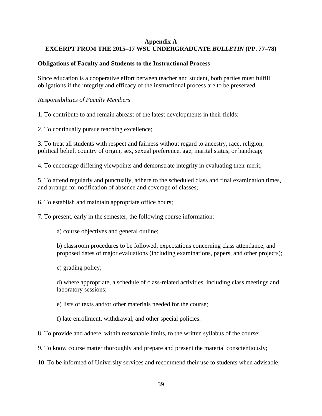### **Appendix A EXCERPT FROM THE 2015–17 WSU UNDERGRADUATE** *BULLETIN* **(PP. 77–78)**

# **Obligations of Faculty and Students to the Instructional Process**

Since education is a cooperative effort between teacher and student, both parties must fulfill obligations if the integrity and efficacy of the instructional process are to be preserved.

### *Responsibilities of Faculty Members*

1. To contribute to and remain abreast of the latest developments in their fields;

2. To continually pursue teaching excellence;

3. To treat all students with respect and fairness without regard to ancestry, race, religion, political belief, country of origin, sex, sexual preference, age, marital status, or handicap;

4. To encourage differing viewpoints and demonstrate integrity in evaluating their merit;

5. To attend regularly and punctually, adhere to the scheduled class and final examination times, and arrange for notification of absence and coverage of classes;

6. To establish and maintain appropriate office hours;

7. To present, early in the semester, the following course information:

a) course objectives and general outline;

b) classroom procedures to be followed, expectations concerning class attendance, and proposed dates of major evaluations (including examinations, papers, and other projects);

c) grading policy;

d) where appropriate, a schedule of class-related activities, including class meetings and laboratory sessions;

e) lists of texts and/or other materials needed for the course;

f) late enrollment, withdrawal, and other special policies.

8. To provide and adhere, within reasonable limits, to the written syllabus of the course;

9. To know course matter thoroughly and prepare and present the material conscientiously;

10. To be informed of University services and recommend their use to students when advisable;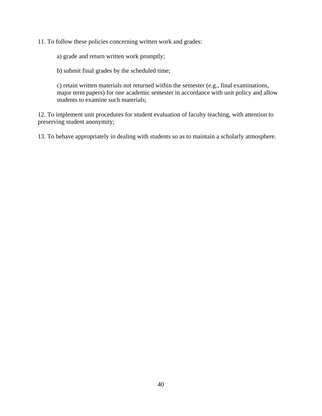11. To follow these policies concerning written work and grades:

a) grade and return written work promptly;

b) submit final grades by the scheduled time;

c) retain written materials not returned within the semester (e.g., final examinations, major term papers) for one academic semester in accordance with unit policy and allow students to examine such materials;

12. To implement unit procedures for student evaluation of faculty teaching, with attention to preserving student anonymity;

13. To behave appropriately in dealing with students so as to maintain a scholarly atmosphere.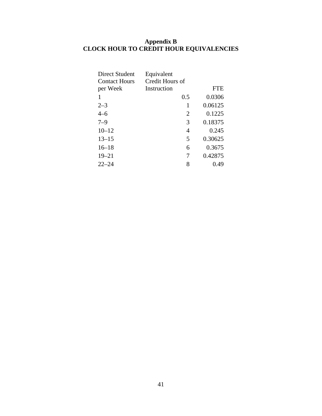### **Appendix B CLOCK HOUR TO CREDIT HOUR EQUIVALENCIES**

| Direct Student       | Equivalent      |         |
|----------------------|-----------------|---------|
| <b>Contact Hours</b> | Credit Hours of |         |
| per Week             | Instruction     | FTE     |
|                      | 0.5             | 0.0306  |
| $2 - 3$              | 1               | 0.06125 |
| $4 - 6$              | 2               | 0.1225  |
| $7 - 9$              | 3               | 0.18375 |
| $10 - 12$            | 4               | 0.245   |
| $13 - 15$            | 5               | 0.30625 |
| $16 - 18$            | 6               | 0.3675  |
| $19 - 21$            | 7               | 0.42875 |
| $22 - 24$            | 8               | 0.49    |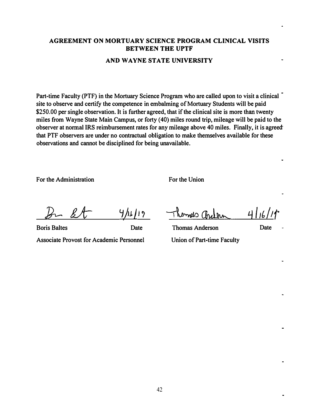### **AGREEMENT ON MORTUARY SCIENCE PROGRAM CLINICAL VISITS BETWEEN THE UPTF**

#### **AND WAYNE STATE UNIVERSITY**

**Part-time Faculty (PTF) in the Mortuary Science Program who are called upon to visit a clinical site to observe and certify the competence in embalming of Mortuary Students will be paid \$250.00 per single observation. It is further agreed, that if the clinical site is more than twenty miles from Wayne State Main Campus, or forty ( 40) miles round trip, mileage will be paid to the observer at normal IRS reimbursement rates for any mileage above 40 miles. Finally, it is agreect that PTF observers are under no contractual obligation to make themselves available for these observations and cannot be disciplined for being unavailable.** 

**For the Administration** 

**For the Union** 

 $B - B$ 

*�Ju J 1,*  $\check{r}$ 

**Boris Baltes Date Associate Provost for Academic Personnel** 

 $41$  $\nu$ mel $\circ$ 

**Thomas Anderson Date Union of Part-time Faculty**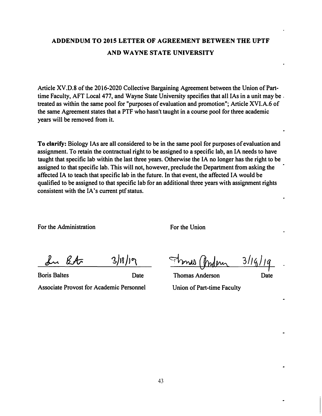# **ADDENDUM TO 2015 LETTER OF AGREEMENT BETWEEN THE UPTF AND WAYNE STATE UNIVERSITY**

**Article XV.D.8 of the 2016-2020 Collective Bargaining Agreement between the Union of Part**time Faculty, AFT Local 477, and Wayne State University specifies that all IAs in a unit may be. **treated as within the same pool for "purposes of evaluation and promotion"; Article XVI.A.6 of the same Agreement states that a PTF who hasn't taught in a course pool for three academic years will be removed from it.** 

**To clarify: Biology IAs are all considered to be in the same pool for purposes of evaluation and assignment. To retain the contractual right to be assigned to a specific lab, an IA needs to have taught that specific lab within the last three years. Otherwise the IA no longer has the right to be assigned to that specific lab. This will not, however, preclude the Department from asking the affected IA to teach that specific lab in the future. In that event, the affected IA would be qualified to be assigned to that specific lab for an additional three years with assignment rights**  consistent with the IA's current ptf status.

For the Administration **For the Union** 

 $3|1|$ In Etc

**Associate Provost for Academic Personnel Union of Part-time Faculty** 

 $3/16/19$ 

**Boris Baltes Date Thomas Anderson Date**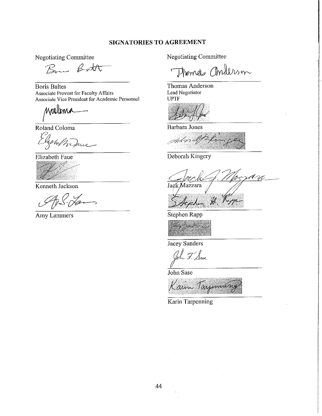### **SIGNATORIES TO AGREEMENT**

**Negotiating Committee** 

Bon Bott

**Boris Baltes Associate Provost for Faculty Affairs** Associate Vice President for Academic Personnel

Walima

Roland Coloma

white

Elizabeth Faue

Kenneth Jackson

Amy Lammers

**Negotiating Committee** 

Thomas anderson

Thomas Anderson Lead Negotiator **UPTF** 

**Barbara** Jones

ptor If the

Deborah Kingery

Jack Mazzara Acaha H. Kopp

Stephen Rapp



Jacey Sanders

ah F. Sase

John Sase

Karin Tarjunning

Karin Tarpenning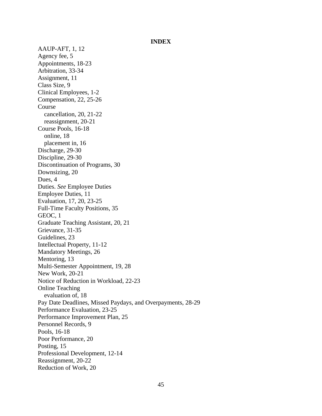#### **INDEX**

AAUP-AFT, 1, 12 Agency fee, 5 Appointments, 18-23 Arbitration, 33-34 Assignment, 11 Class Size, 9 Clinical Employees, 1-2 Compensation, 22, 25-26 Course cancellation, 20, 21-22 reassignment, 20-21 Course Pools, 16-18 online, 18 placement in, 16 Discharge, 29-30 Discipline, 29-30 Discontinuation of Programs, 30 Downsizing, 20 Dues, 4 Duties. *See* Employee Duties Employee Duties, 11 Evaluation, 17, 20, 23-25 Full-Time Faculty Positions, 35 GEOC, 1 Graduate Teaching Assistant, 20, 21 Grievance, 31-35 Guidelines, 23 Intellectual Property, 11-12 Mandatory Meetings, 26 Mentoring, 13 Multi-Semester Appointment, 19, 28 New Work, 20-21 Notice of Reduction in Workload, 22-23 Online Teaching evaluation of, 18 Pay Date Deadlines, Missed Paydays, and Overpayments, 28-29 Performance Evaluation, 23-25 Performance Improvement Plan, 25 Personnel Records, 9 Pools, 16-18 Poor Performance, 20 Posting, 15 Professional Development, 12-14 Reassignment, 20-22 Reduction of Work, 20